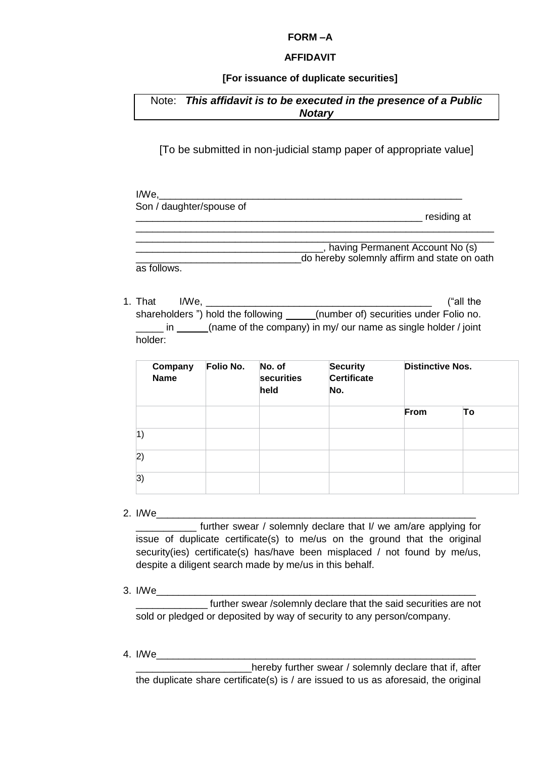### **FORM –A**

### **AFFIDAVIT**

## **[For issuance of duplicate securities]**

# Note: *This affidavit is to be executed in the presence of a Public Notary*

[To be submitted in non-judicial stamp paper of appropriate value]

| I/We.                    |                                             |
|--------------------------|---------------------------------------------|
| Son / daughter/spouse of |                                             |
|                          | residing at                                 |
|                          |                                             |
|                          | having Permanent Account No (s)             |
|                          | do hereby solemnly affirm and state on oath |

1. That I/We, \_\_\_\_\_\_\_\_\_\_\_\_\_\_\_\_\_\_\_\_\_\_\_\_\_\_\_\_\_\_\_\_\_\_\_\_\_\_\_\_\_ ("all the shareholders ") hold the following \_\_\_\_\_(number of) securities under Folio no. \_\_\_\_\_ in (name of the company) in my/ our name as single holder / joint holder:

| Company<br><b>Name</b> | Folio No. | No. of<br>securities<br>held | <b>Security</b><br>Certificate<br>No. | <b>Distinctive Nos.</b> |    |
|------------------------|-----------|------------------------------|---------------------------------------|-------------------------|----|
|                        |           |                              |                                       | From                    | To |
| 1)                     |           |                              |                                       |                         |    |
| 2)                     |           |                              |                                       |                         |    |
| 3)                     |           |                              |                                       |                         |    |

2. I/We $\Box$ 

as follows.

\_\_\_\_\_\_\_\_\_\_\_ further swear / solemnly declare that I/ we am/are applying for issue of duplicate certificate(s) to me/us on the ground that the original security(ies) certificate(s) has/have been misplaced / not found by me/us, despite a diligent search made by me/us in this behalf.

 $3.$  I/We

further swear /solemnly declare that the said securities are not sold or pledged or deposited by way of security to any person/company.

4. I/We\_\_\_\_\_\_\_\_\_\_\_\_\_\_\_\_\_\_\_\_\_\_\_\_\_\_\_\_\_\_\_\_\_\_\_\_\_\_\_\_\_\_\_\_\_\_\_\_\_\_\_\_\_\_\_\_\_\_

\_\_\_\_\_\_\_\_\_\_\_\_\_\_\_\_\_\_\_\_\_hereby further swear / solemnly declare that if, after the duplicate share certificate(s) is / are issued to us as aforesaid, the original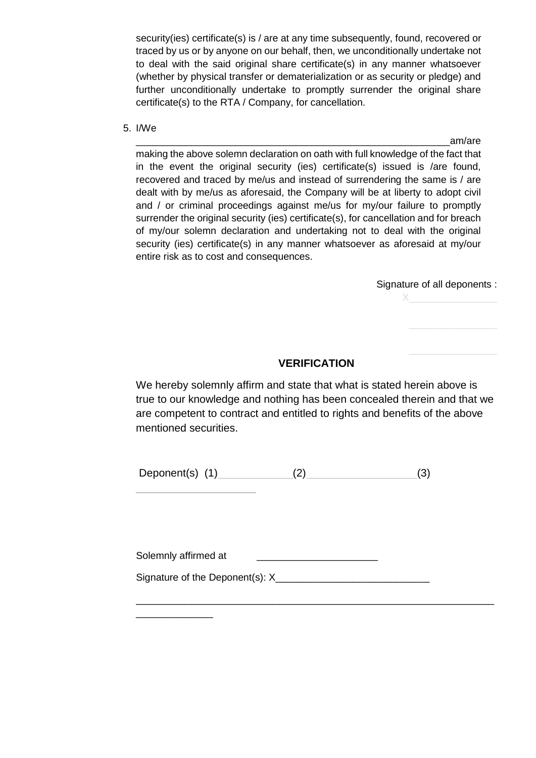security(ies) certificate(s) is / are at any time subsequently, found, recovered or traced by us or by anyone on our behalf, then, we unconditionally undertake not to deal with the said original share certificate(s) in any manner whatsoever (whether by physical transfer or dematerialization or as security or pledge) and further unconditionally undertake to promptly surrender the original share certificate(s) to the RTA / Company, for cancellation.

5. I/We

am/are making the above solemn declaration on oath with full knowledge of the fact that in the event the original security (ies) certificate(s) issued is /are found, recovered and traced by me/us and instead of surrendering the same is / are dealt with by me/us as aforesaid, the Company will be at liberty to adopt civil and / or criminal proceedings against me/us for my/our failure to promptly surrender the original security (ies) certificate(s), for cancellation and for breach of my/our solemn declaration and undertaking not to deal with the original security (ies) certificate(s) in any manner whatsoever as aforesaid at my/our entire risk as to cost and consequences.

Signature of all deponents :

 $X$  and  $X$  and  $X$  and  $X$ 

# **VERIFICATION**

We hereby solemnly affirm and state that what is stated herein above is true to our knowledge and nothing has been concealed therein and that we are competent to contract and entitled to rights and benefits of the above mentioned securities.

Deponent(s)  $(1)$   $(2)$   $(3)$ 

 $\mathcal{L}=\mathcal{L}=\mathcal{L}=\mathcal{L}=\mathcal{L}=\mathcal{L}=\mathcal{L}=\mathcal{L}=\mathcal{L}$ 

\_\_\_\_\_\_\_\_\_\_\_\_\_\_

Solemnly affirmed at

Signature of the Deponent(s): X

\_\_\_\_\_\_\_\_\_\_\_\_\_\_\_\_\_\_\_\_\_\_\_\_\_\_\_\_\_\_\_\_\_\_\_\_\_\_\_\_\_\_\_\_\_\_\_\_\_\_\_\_\_\_\_\_\_\_\_\_\_\_\_\_\_